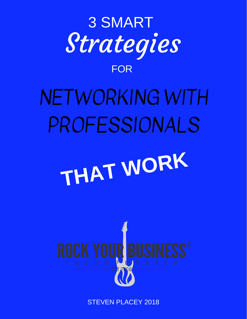

STEVEN PLACEY 2018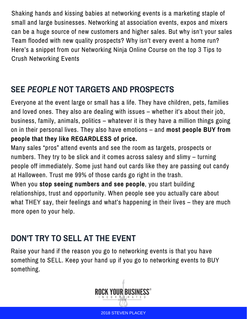Shaking hands and kissing babies at networking events is a marketing staple of small and large businesses. Networking at association events, expos and mixers can be a huge source of new customers and higher sales. But why isn't your sales Team flooded with new quality prospects? Why isn't every event a home run? Here's a snippet from our Networking Ninja Online Course on the top 3 Tips to Crush Networking Events

## **SEE** *PEOPLE* **NOT TARGETS AND PROSPECTS**

Everyone at the event large or small has a life. They have children, pets, families and loved ones. They also are dealing with issues – whether it's about their job, business, family, animals, politics – whatever it is they have a million things going on in their personal lives. They also have emotions – and **most people BUY from people that they like REGARDLESS of price.**

Many sales "pros" attend events and see the room as targets, prospects or numbers. They try to be slick and it comes across salesy and slimy – turning people off immediately. Some just hand out cards like they are passing out candy at Halloween. Trust me 99% of those cards go right in the trash.

When you **stop seeing numbers and see people**, you start building relationships, trust and opportunity. When people see you actually care about what THEY say, their feelings and what's happening in their lives – they are much more open to your help.

## **DON'T TRY TO SELL AT THE EVENT**

Raise your hand if the reason you go to networking events is that you have something to SELL. Keep your hand up if you go to networking events to BUY something.



2018 STEVEN PLACEY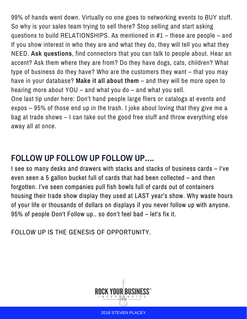99% of hands went down. Virtually no one goes to networking events to BUY stuff. So why is your sales team trying to sell there? Stop selling and start asking questions to build RELATIONSHIPS. As mentioned in #1 – these are people – and If you show interest in who they are and what they do, they will tell you what they NEED. **Ask questions**, find connectors that you can talk to people about. Hear an accent? Ask them where they are from? Do they have dogs, cats, children? What type of business do they have? Who are the customers they want – that you may have in your database? **Make it all about them** – and they will be more open to hearing more about YOU – and what you do – and what you sell.

One last tip under here: Don't hand people large fliers or catalogs at events and expos – 95% of those end up in the trash. I joke about loving that they give me a bag at trade shows – I can take out the good free stuff and throw everything else away all at once.

## **FOLLOW UP FOLLOW UP FOLLOW UP….**

I see so many desks and drawers with stacks and stacks of business cards – I've even seen a 5 gallon bucket full of cards that had been collected – and then forgotten. I've seen companies pull fish bowls full of cards out of containers housing their trade show display they used at LAST year's show. Why waste hours of your life or thousands of dollars on displays if you never follow up with anyone. 95% of people Don't Follow up.. so don't feel bad – let's fix it.

FOLLOW UP IS THE GENESIS OF [OPPORTUNITY.](http://www.rockyourbusinessnow.com/)